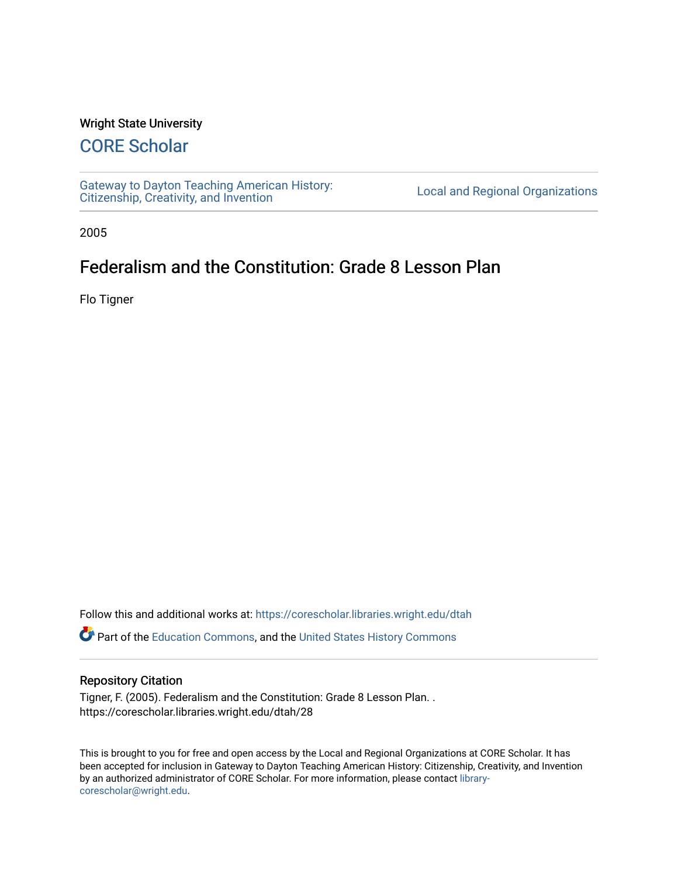#### Wright State University

## [CORE Scholar](https://corescholar.libraries.wright.edu/)

[Gateway to Dayton Teaching American History:](https://corescholar.libraries.wright.edu/dtah)  Gateway to Dayton Teaching American History.<br>[Citizenship, Creativity, and Invention](https://corescholar.libraries.wright.edu/dtah) Listory Local and Regional Organizations

2005

## Federalism and the Constitution: Grade 8 Lesson Plan

Flo Tigner

Follow this and additional works at: [https://corescholar.libraries.wright.edu/dtah](https://corescholar.libraries.wright.edu/dtah?utm_source=corescholar.libraries.wright.edu%2Fdtah%2F28&utm_medium=PDF&utm_campaign=PDFCoverPages)

Part of the [Education Commons](http://network.bepress.com/hgg/discipline/784?utm_source=corescholar.libraries.wright.edu%2Fdtah%2F28&utm_medium=PDF&utm_campaign=PDFCoverPages), and the [United States History Commons](http://network.bepress.com/hgg/discipline/495?utm_source=corescholar.libraries.wright.edu%2Fdtah%2F28&utm_medium=PDF&utm_campaign=PDFCoverPages) 

#### Repository Citation

Tigner, F. (2005). Federalism and the Constitution: Grade 8 Lesson Plan. . https://corescholar.libraries.wright.edu/dtah/28

This is brought to you for free and open access by the Local and Regional Organizations at CORE Scholar. It has been accepted for inclusion in Gateway to Dayton Teaching American History: Citizenship, Creativity, and Invention by an authorized administrator of CORE Scholar. For more information, please contact [library](mailto:library-corescholar@wright.edu)[corescholar@wright.edu](mailto:library-corescholar@wright.edu).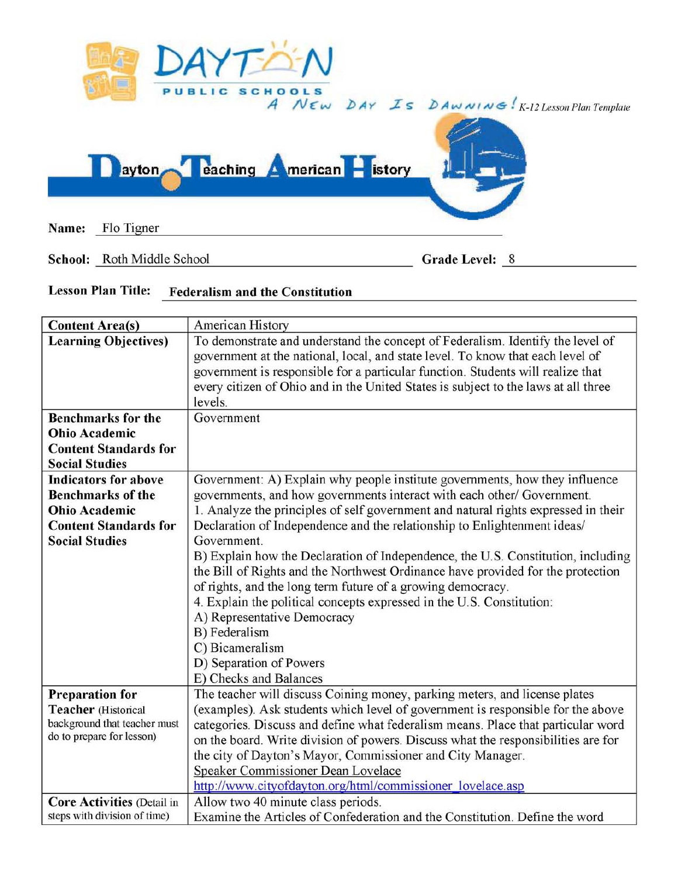

School: Roth Middle School Grade Level: 8

# Lesson Plan Title: Federalism and the Constitution

| <b>Content Area(s)</b>            | American History                                                                                                                                                 |  |  |  |  |  |  |
|-----------------------------------|------------------------------------------------------------------------------------------------------------------------------------------------------------------|--|--|--|--|--|--|
| <b>Learning Objectives)</b>       | To demonstrate and understand the concept of Federalism. Identify the level of<br>government at the national, local, and state level. To know that each level of |  |  |  |  |  |  |
|                                   | government is responsible for a particular function. Students will realize that                                                                                  |  |  |  |  |  |  |
|                                   | every citizen of Ohio and in the United States is subject to the laws at all three                                                                               |  |  |  |  |  |  |
|                                   | levels.                                                                                                                                                          |  |  |  |  |  |  |
| <b>Benchmarks for the</b>         | Government                                                                                                                                                       |  |  |  |  |  |  |
| <b>Ohio Academic</b>              |                                                                                                                                                                  |  |  |  |  |  |  |
| <b>Content Standards for</b>      |                                                                                                                                                                  |  |  |  |  |  |  |
| <b>Social Studies</b>             |                                                                                                                                                                  |  |  |  |  |  |  |
| <b>Indicators for above</b>       | Government: A) Explain why people institute governments, how they influence                                                                                      |  |  |  |  |  |  |
| <b>Benchmarks of the</b>          | governments, and how governments interact with each other/ Government.                                                                                           |  |  |  |  |  |  |
| <b>Ohio Academic</b>              | 1. Analyze the principles of self government and natural rights expressed in their                                                                               |  |  |  |  |  |  |
| <b>Content Standards for</b>      | Declaration of Independence and the relationship to Enlightenment ideas/                                                                                         |  |  |  |  |  |  |
| <b>Social Studies</b>             | Government.                                                                                                                                                      |  |  |  |  |  |  |
|                                   | B) Explain how the Declaration of Independence, the U.S. Constitution, including                                                                                 |  |  |  |  |  |  |
|                                   | the Bill of Rights and the Northwest Ordinance have provided for the protection                                                                                  |  |  |  |  |  |  |
|                                   | of rights, and the long term future of a growing democracy.                                                                                                      |  |  |  |  |  |  |
|                                   | 4. Explain the political concepts expressed in the U.S. Constitution:                                                                                            |  |  |  |  |  |  |
|                                   | A) Representative Democracy                                                                                                                                      |  |  |  |  |  |  |
|                                   | B) Federalism                                                                                                                                                    |  |  |  |  |  |  |
|                                   | C) Bicameralism                                                                                                                                                  |  |  |  |  |  |  |
|                                   | D) Separation of Powers                                                                                                                                          |  |  |  |  |  |  |
|                                   | E) Checks and Balances                                                                                                                                           |  |  |  |  |  |  |
| <b>Preparation for</b>            | The teacher will discuss Coining money, parking meters, and license plates                                                                                       |  |  |  |  |  |  |
| <b>Teacher</b> (Historical        | (examples). Ask students which level of government is responsible for the above                                                                                  |  |  |  |  |  |  |
| background that teacher must      | categories. Discuss and define what federalism means. Place that particular word                                                                                 |  |  |  |  |  |  |
| do to prepare for lesson)         | on the board. Write division of powers. Discuss what the responsibilities are for                                                                                |  |  |  |  |  |  |
|                                   | the city of Dayton's Mayor, Commissioner and City Manager.                                                                                                       |  |  |  |  |  |  |
|                                   | Speaker Commissioner Dean Lovelace                                                                                                                               |  |  |  |  |  |  |
|                                   | http://www.cityofdayton.org/html/commissioner_lovelace.asp                                                                                                       |  |  |  |  |  |  |
| <b>Core Activities (Detail in</b> | Allow two 40 minute class periods.                                                                                                                               |  |  |  |  |  |  |
| steps with division of time)      | Examine the Articles of Confederation and the Constitution. Define the word                                                                                      |  |  |  |  |  |  |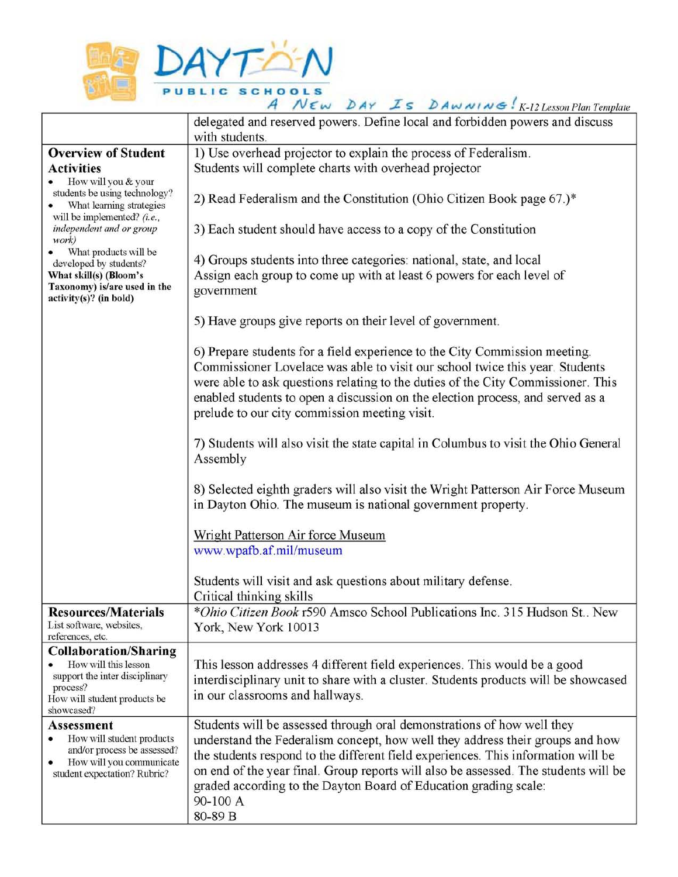

|                                                                                                                   | A NEW DAY IS DAWNING: K-12 Lesson Plan Template                                                                                                                                                                                                                                                                                                                                   |  |  |  |  |  |
|-------------------------------------------------------------------------------------------------------------------|-----------------------------------------------------------------------------------------------------------------------------------------------------------------------------------------------------------------------------------------------------------------------------------------------------------------------------------------------------------------------------------|--|--|--|--|--|
|                                                                                                                   | delegated and reserved powers. Define local and forbidden powers and discuss<br>with students.                                                                                                                                                                                                                                                                                    |  |  |  |  |  |
| <b>Overview of Student</b>                                                                                        | 1) Use overhead projector to explain the process of Federalism.                                                                                                                                                                                                                                                                                                                   |  |  |  |  |  |
| <b>Activities</b>                                                                                                 | Students will complete charts with overhead projector                                                                                                                                                                                                                                                                                                                             |  |  |  |  |  |
| How will you & your<br>students be using technology?<br>What learning strategies<br>will be implemented? $(i.e.,$ | 2) Read Federalism and the Constitution (Ohio Citizen Book page 67.)*                                                                                                                                                                                                                                                                                                             |  |  |  |  |  |
| independent and or group<br>work)                                                                                 | 3) Each student should have access to a copy of the Constitution                                                                                                                                                                                                                                                                                                                  |  |  |  |  |  |
| • What products will be<br>developed by students?                                                                 | 4) Groups students into three categories: national, state, and local                                                                                                                                                                                                                                                                                                              |  |  |  |  |  |
| What skill(s) (Bloom's<br>Taxonomy) is/are used in the<br>activity(s)? (in bold)                                  | Assign each group to come up with at least 6 powers for each level of<br>government                                                                                                                                                                                                                                                                                               |  |  |  |  |  |
|                                                                                                                   | 5) Have groups give reports on their level of government.                                                                                                                                                                                                                                                                                                                         |  |  |  |  |  |
|                                                                                                                   | 6) Prepare students for a field experience to the City Commission meeting.<br>Commissioner Lovelace was able to visit our school twice this year. Students<br>were able to ask questions relating to the duties of the City Commissioner. This<br>enabled students to open a discussion on the election process, and served as a<br>prelude to our city commission meeting visit. |  |  |  |  |  |
|                                                                                                                   | 7) Students will also visit the state capital in Columbus to visit the Ohio General<br>Assembly                                                                                                                                                                                                                                                                                   |  |  |  |  |  |
|                                                                                                                   | 8) Selected eighth graders will also visit the Wright Patterson Air Force Museum<br>in Dayton Ohio. The museum is national government property.                                                                                                                                                                                                                                   |  |  |  |  |  |
|                                                                                                                   |                                                                                                                                                                                                                                                                                                                                                                                   |  |  |  |  |  |
|                                                                                                                   | Wright Patterson Air force Museum<br>www.wpafb.af.mil/museum                                                                                                                                                                                                                                                                                                                      |  |  |  |  |  |
|                                                                                                                   |                                                                                                                                                                                                                                                                                                                                                                                   |  |  |  |  |  |
|                                                                                                                   | Students will visit and ask questions about military defense.<br>Critical thinking skills                                                                                                                                                                                                                                                                                         |  |  |  |  |  |
| <b>Resources/Materials</b>                                                                                        | *Ohio Citizen Book r590 Amsco School Publications Inc. 315 Hudson St., New                                                                                                                                                                                                                                                                                                        |  |  |  |  |  |
| List software, websites,<br>references, etc.                                                                      | York, New York 10013                                                                                                                                                                                                                                                                                                                                                              |  |  |  |  |  |
| <b>Collaboration/Sharing</b>                                                                                      |                                                                                                                                                                                                                                                                                                                                                                                   |  |  |  |  |  |
| How will this lesson                                                                                              | This lesson addresses 4 different field experiences. This would be a good                                                                                                                                                                                                                                                                                                         |  |  |  |  |  |
| support the inter disciplinary                                                                                    | interdisciplinary unit to share with a cluster. Students products will be showcased                                                                                                                                                                                                                                                                                               |  |  |  |  |  |
| process?<br>How will student products be<br>showcased?                                                            | in our classrooms and hallways.                                                                                                                                                                                                                                                                                                                                                   |  |  |  |  |  |
| <b>Assessment</b>                                                                                                 | Students will be assessed through oral demonstrations of how well they                                                                                                                                                                                                                                                                                                            |  |  |  |  |  |
| How will student products<br>and/or process be assessed?                                                          | understand the Federalism concept, how well they address their groups and how                                                                                                                                                                                                                                                                                                     |  |  |  |  |  |
| How will you communicate                                                                                          | the students respond to the different field experiences. This information will be                                                                                                                                                                                                                                                                                                 |  |  |  |  |  |
| student expectation? Rubric?                                                                                      | on end of the year final. Group reports will also be assessed. The students will be                                                                                                                                                                                                                                                                                               |  |  |  |  |  |
|                                                                                                                   | graded according to the Dayton Board of Education grading scale:<br>90-100 A                                                                                                                                                                                                                                                                                                      |  |  |  |  |  |
|                                                                                                                   | 80-89 B                                                                                                                                                                                                                                                                                                                                                                           |  |  |  |  |  |
|                                                                                                                   |                                                                                                                                                                                                                                                                                                                                                                                   |  |  |  |  |  |